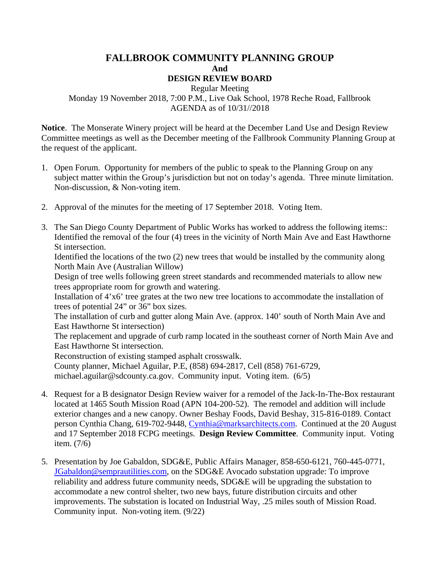## **FALLBROOK COMMUNITY PLANNING GROUP And DESIGN REVIEW BOARD**

Regular Meeting

Monday 19 November 2018, 7:00 P.M., Live Oak School, 1978 Reche Road, Fallbrook AGENDA as of 10/31//2018

**Notice**. The Monserate Winery project will be heard at the December Land Use and Design Review Committee meetings as well as the December meeting of the Fallbrook Community Planning Group at the request of the applicant.

- 1. Open Forum. Opportunity for members of the public to speak to the Planning Group on any subject matter within the Group's jurisdiction but not on today's agenda. Three minute limitation. Non-discussion, & Non-voting item.
- 2. Approval of the minutes for the meeting of 17 September 2018. Voting Item.
- 3. The San Diego County Department of Public Works has worked to address the following items:: Identified the removal of the four (4) trees in the vicinity of North Main Ave and East Hawthorne St intersection.

Identified the locations of the two (2) new trees that would be installed by the community along North Main Ave (Australian Willow)

Design of tree wells following green street standards and recommended materials to allow new trees appropriate room for growth and watering.

Installation of 4'x6' tree grates at the two new tree locations to accommodate the installation of trees of potential 24" or 36" box sizes.

The installation of curb and gutter along Main Ave. (approx. 140' south of North Main Ave and East Hawthorne St intersection)

The replacement and upgrade of curb ramp located in the southeast corner of North Main Ave and East Hawthorne St intersection.

Reconstruction of existing stamped asphalt crosswalk.

County planner, Michael Aguilar, P.E, (858) 694-2817, Cell (858) 761-6729, michael.aguilar@sdcounty.ca.gov. Community input. Voting item. (6/5)

- 4. Request for a B designator Design Review waiver for a remodel of the Jack-In-The-Box restaurant located at 1465 South Mission Road (APN 104-200-52). The remodel and addition will include exterior changes and a new canopy. Owner Beshay Foods, David Beshay, 315-816-0189. Contact person Cynthia Chang, 619-702-9448, [Cynthia@marksarchitects.com.](mailto:Cynthia@marksarchitects.com) Continued at the 20 August and 17 September 2018 FCPG meetings. **Design Review Committee**. Community input. Voting item. (7/6)
- 5. Presentation by Joe Gabaldon, SDG&E, Public Affairs Manager, 858-650-6121, 760-445-0771, [JGabaldon@semprautilities.com,](mailto:JGabaldon@semprautilities.com) on the SDG&E Avocado substation upgrade: To improve reliability and address future community needs, SDG&E will be upgrading the substation to accommodate a new control shelter, two new bays, future distribution circuits and other improvements. The substation is located on Industrial Way, .25 miles south of Mission Road. Community input. Non-voting item. (9/22)